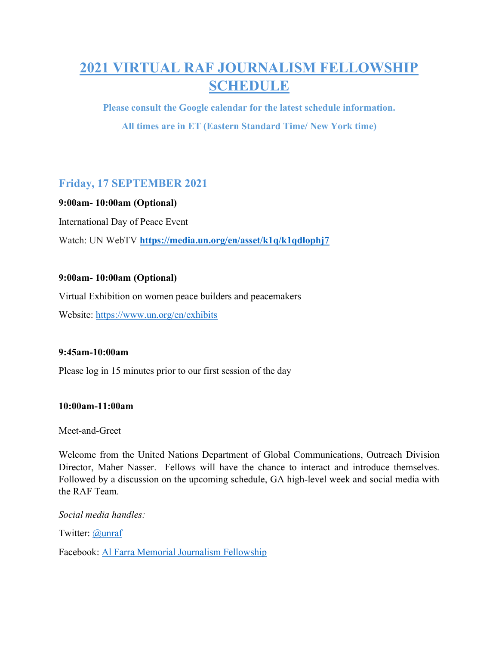# 2021 VIRTUAL RAF JOURNALISM FELLOWSHIP SCHEDULE

Please consult the Google calendar for the latest schedule information. All times are in ET (Eastern Standard Time/ New York time)

# Friday, 17 SEPTEMBER 2021

# 9:00am- 10:00am (Optional)

International Day of Peace Event

Watch: UN WebTV https://media.un.org/en/asset/k1q/k1qdlophj7

# 9:00am- 10:00am (Optional)

Virtual Exhibition on women peace builders and peacemakers

Website: https://www.un.org/en/exhibits

# 9:45am-10:00am

Please log in 15 minutes prior to our first session of the day

#### 10:00am-11:00am

Meet-and-Greet

Welcome from the United Nations Department of Global Communications, Outreach Division Director, Maher Nasser. Fellows will have the chance to interact and introduce themselves. Followed by a discussion on the upcoming schedule, GA high-level week and social media with the RAF Team.

Social media handles:

Twitter: @unraf

Facebook: Al Farra Memorial Journalism Fellowship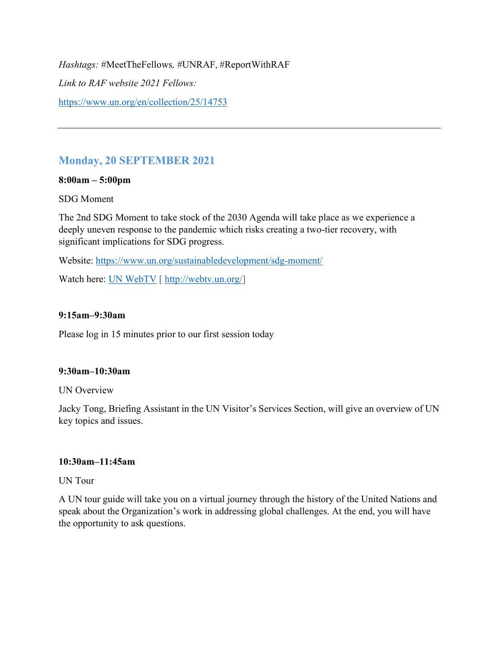Hashtags: #MeetTheFellows, #UNRAF, #ReportWithRAF Link to RAF website 2021 Fellows: https://www.un.org/en/collection/25/14753

# Monday, 20 SEPTEMBER 2021

### 8:00am – 5:00pm

#### SDG Moment

The 2nd SDG Moment to take stock of the 2030 Agenda will take place as we experience a deeply uneven response to the pandemic which risks creating a two-tier recovery, with significant implications for SDG progress.

Website: https://www.un.org/sustainabledevelopment/sdg-moment/

Watch here: UN WebTV [ http://webtv.un.org/]

### 9:15am–9:30am

Please log in 15 minutes prior to our first session today

#### 9:30am–10:30am

#### UN Overview

Jacky Tong, Briefing Assistant in the UN Visitor's Services Section, will give an overview of UN key topics and issues.

#### 10:30am–11:45am

UN Tour

A UN tour guide will take you on a virtual journey through the history of the United Nations and speak about the Organization's work in addressing global challenges. At the end, you will have the opportunity to ask questions.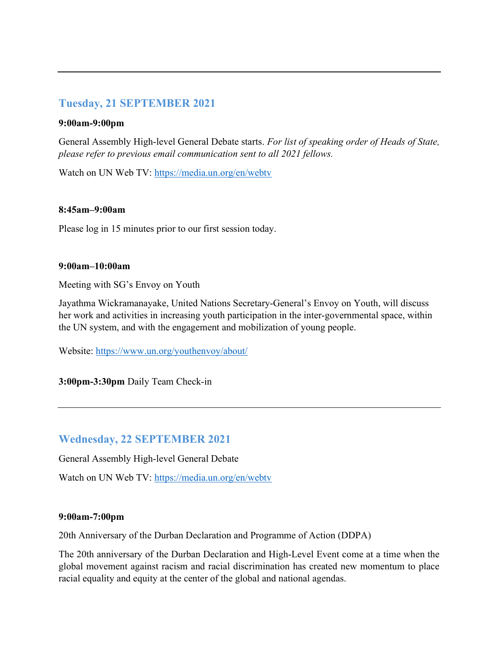# Tuesday, 21 SEPTEMBER 2021

#### 9:00am-9:00pm

General Assembly High-level General Debate starts. For list of speaking order of Heads of State, please refer to previous email communication sent to all 2021 fellows.

Watch on UN Web TV: https://media.un.org/en/webtv

#### 8:45am–9:00am

Please log in 15 minutes prior to our first session today.

#### 9:00am–10:00am

Meeting with SG's Envoy on Youth

Jayathma Wickramanayake, United Nations Secretary-General's Envoy on Youth, will discuss her work and activities in increasing youth participation in the inter-governmental space, within the UN system, and with the engagement and mobilization of young people.

Website: https://www.un.org/youthenvoy/about/

3:00pm-3:30pm Daily Team Check-in

# Wednesday, 22 SEPTEMBER 2021

General Assembly High-level General Debate

Watch on UN Web TV: https://media.un.org/en/webtv

#### 9:00am-7:00pm

20th Anniversary of the Durban Declaration and Programme of Action (DDPA)

The 20th anniversary of the Durban Declaration and High-Level Event come at a time when the global movement against racism and racial discrimination has created new momentum to place racial equality and equity at the center of the global and national agendas.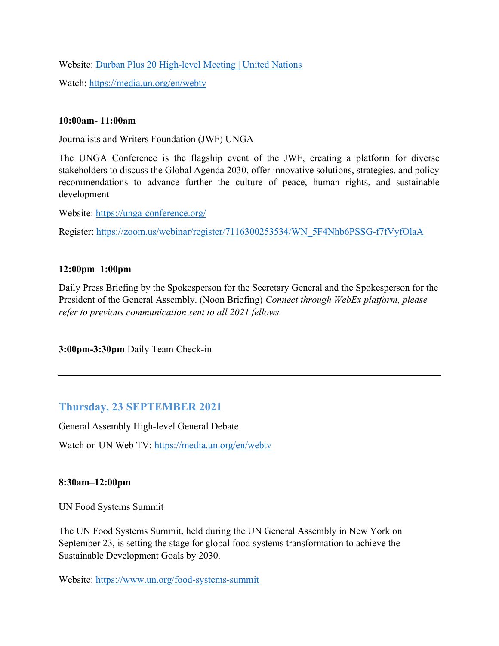Website: Durban Plus 20 High-level Meeting | United Nations

Watch: https://media.un.org/en/webtv

### 10:00am- 11:00am

Journalists and Writers Foundation (JWF) UNGA

The UNGA Conference is the flagship event of the JWF, creating a platform for diverse stakeholders to discuss the Global Agenda 2030, offer innovative solutions, strategies, and policy recommendations to advance further the culture of peace, human rights, and sustainable development

Website: https://unga-conference.org/

Register: https://zoom.us/webinar/register/7116300253534/WN\_5F4Nhb6PSSG-f7fVyfOlaA

# 12:00pm–1:00pm

Daily Press Briefing by the Spokesperson for the Secretary General and the Spokesperson for the President of the General Assembly. (Noon Briefing) Connect through WebEx platform, please refer to previous communication sent to all 2021 fellows.

3:00pm-3:30pm Daily Team Check-in

# Thursday, 23 SEPTEMBER 2021

General Assembly High-level General Debate

Watch on UN Web TV: https://media.un.org/en/webtv

# 8:30am–12:00pm

UN Food Systems Summit

The UN Food Systems Summit, held during the UN General Assembly in New York on September 23, is setting the stage for global food systems transformation to achieve the Sustainable Development Goals by 2030.

Website: https://www.un.org/food-systems-summit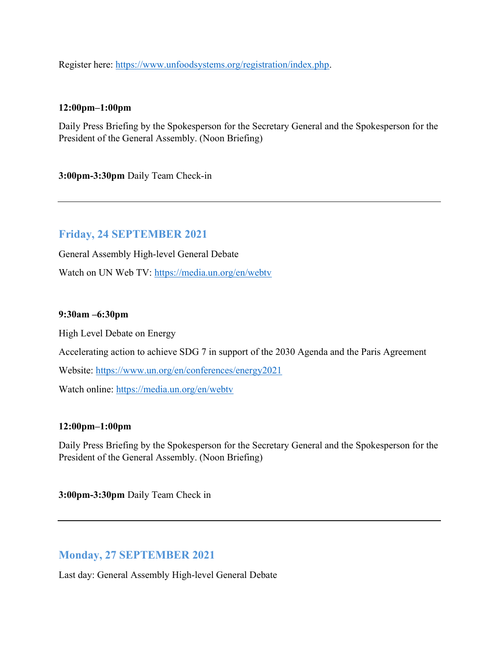Register here: https://www.unfoodsystems.org/registration/index.php.

#### 12:00pm–1:00pm

Daily Press Briefing by the Spokesperson for the Secretary General and the Spokesperson for the President of the General Assembly. (Noon Briefing)

3:00pm-3:30pm Daily Team Check-in

# Friday, 24 SEPTEMBER 2021

General Assembly High-level General Debate

Watch on UN Web TV: https://media.un.org/en/webtv

#### 9:30am –6:30pm

High Level Debate on Energy

Accelerating action to achieve SDG 7 in support of the 2030 Agenda and the Paris Agreement

Website: https://www.un.org/en/conferences/energy2021

Watch online: https://media.un.org/en/webtv

#### 12:00pm–1:00pm

Daily Press Briefing by the Spokesperson for the Secretary General and the Spokesperson for the President of the General Assembly. (Noon Briefing)

3:00pm-3:30pm Daily Team Check in

# Monday, 27 SEPTEMBER 2021

Last day: General Assembly High-level General Debate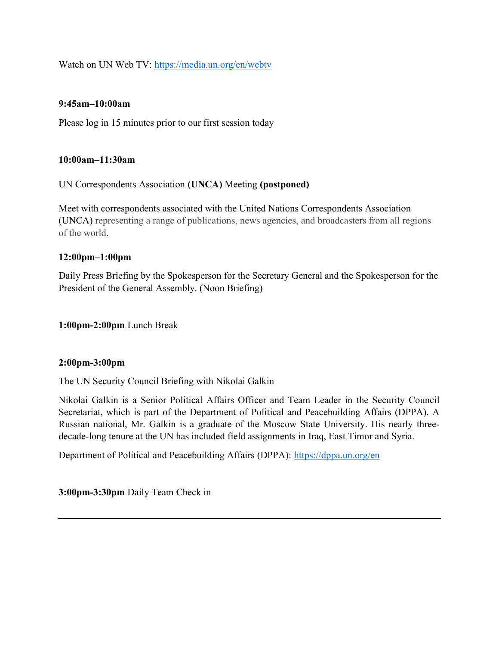Watch on UN Web TV: https://media.un.org/en/webtv

#### 9:45am–10:00am

Please log in 15 minutes prior to our first session today

#### 10:00am–11:30am

UN Correspondents Association (UNCA) Meeting (postponed)

Meet with correspondents associated with the United Nations Correspondents Association (UNCA) representing a range of publications, news agencies, and broadcasters from all regions of the world.

#### 12:00pm–1:00pm

Daily Press Briefing by the Spokesperson for the Secretary General and the Spokesperson for the President of the General Assembly. (Noon Briefing)

1:00pm-2:00pm Lunch Break

#### 2:00pm-3:00pm

The UN Security Council Briefing with Nikolai Galkin

Nikolai Galkin is a Senior Political Affairs Officer and Team Leader in the Security Council Secretariat, which is part of the Department of Political and Peacebuilding Affairs (DPPA). A Russian national, Mr. Galkin is a graduate of the Moscow State University. His nearly threedecade-long tenure at the UN has included field assignments in Iraq, East Timor and Syria.

Department of Political and Peacebuilding Affairs (DPPA): https://dppa.un.org/en

3:00pm-3:30pm Daily Team Check in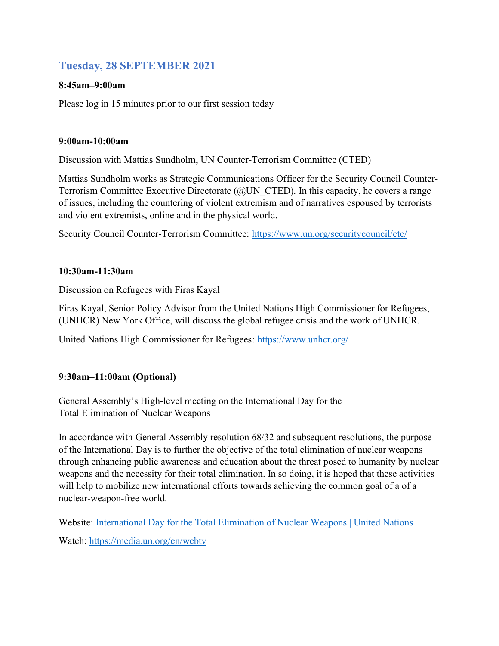# Tuesday, 28 SEPTEMBER 2021

# 8:45am–9:00am

Please log in 15 minutes prior to our first session today

# 9:00am-10:00am

Discussion with Mattias Sundholm, UN Counter-Terrorism Committee (CTED)

Mattias Sundholm works as Strategic Communications Officer for the Security Council Counter-Terrorism Committee Executive Directorate (@UN\_CTED). In this capacity, he covers a range of issues, including the countering of violent extremism and of narratives espoused by terrorists and violent extremists, online and in the physical world.

Security Council Counter-Terrorism Committee: https://www.un.org/securitycouncil/ctc/

# 10:30am-11:30am

Discussion on Refugees with Firas Kayal

Firas Kayal, Senior Policy Advisor from the United Nations High Commissioner for Refugees, (UNHCR) New York Office, will discuss the global refugee crisis and the work of UNHCR.

United Nations High Commissioner for Refugees: https://www.unhcr.org/

# 9:30am–11:00am (Optional)

General Assembly's High-level meeting on the International Day for the Total Elimination of Nuclear Weapons

In accordance with General Assembly resolution 68/32 and subsequent resolutions, the purpose of the International Day is to further the objective of the total elimination of nuclear weapons through enhancing public awareness and education about the threat posed to humanity by nuclear weapons and the necessity for their total elimination. In so doing, it is hoped that these activities will help to mobilize new international efforts towards achieving the common goal of a of a nuclear-weapon-free world.

Website: International Day for the Total Elimination of Nuclear Weapons | United Nations

Watch: https://media.un.org/en/webtv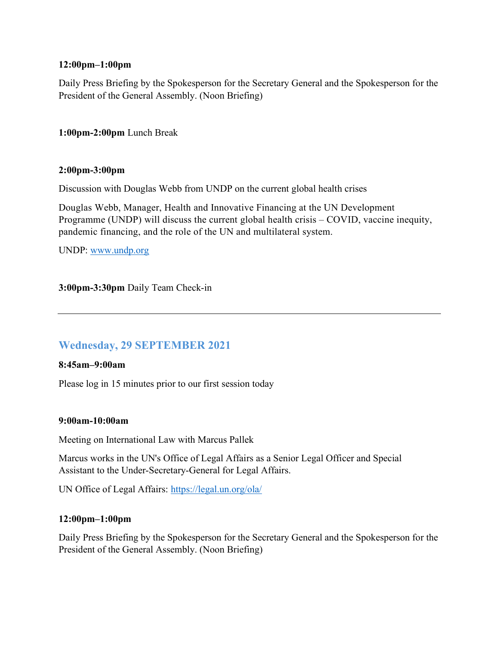### 12:00pm–1:00pm

Daily Press Briefing by the Spokesperson for the Secretary General and the Spokesperson for the President of the General Assembly. (Noon Briefing)

1:00pm-2:00pm Lunch Break

#### 2:00pm-3:00pm

Discussion with Douglas Webb from UNDP on the current global health crises

Douglas Webb, Manager, Health and Innovative Financing at the UN Development Programme (UNDP) will discuss the current global health crisis – COVID, vaccine inequity, pandemic financing, and the role of the UN and multilateral system.

UNDP: www.undp.org

3:00pm-3:30pm Daily Team Check-in

# Wednesday, 29 SEPTEMBER 2021

#### 8:45am–9:00am

Please log in 15 minutes prior to our first session today

#### 9:00am-10:00am

Meeting on International Law with Marcus Pallek

Marcus works in the UN's Office of Legal Affairs as a Senior Legal Officer and Special Assistant to the Under-Secretary-General for Legal Affairs.

UN Office of Legal Affairs: https://legal.un.org/ola/

#### 12:00pm–1:00pm

Daily Press Briefing by the Spokesperson for the Secretary General and the Spokesperson for the President of the General Assembly. (Noon Briefing)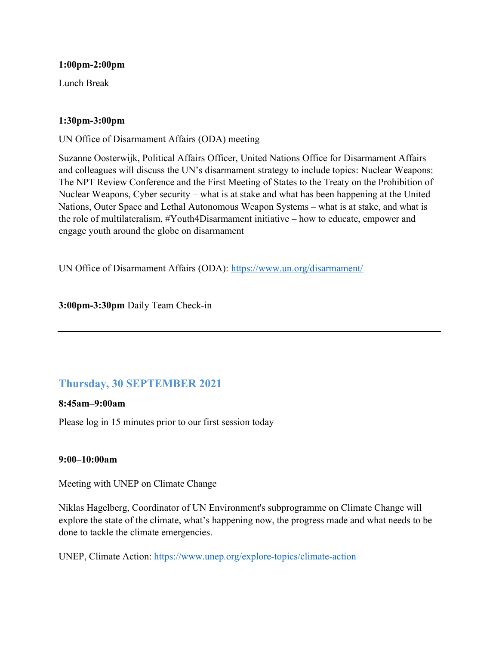#### 1:00pm-2:00pm

Lunch Break

### 1:30pm-3:00pm

UN Office of Disarmament Affairs (ODA) meeting

Suzanne Oosterwijk, Political Affairs Officer, United Nations Office for Disarmament Affairs and colleagues will discuss the UN's disarmament strategy to include topics: Nuclear Weapons: The NPT Review Conference and the First Meeting of States to the Treaty on the Prohibition of Nuclear Weapons, Cyber security – what is at stake and what has been happening at the United Nations, Outer Space and Lethal Autonomous Weapon Systems – what is at stake, and what is the role of multilateralism, #Youth4Disarmament initiative – how to educate, empower and engage youth around the globe on disarmament

UN Office of Disarmament Affairs (ODA): https://www.un.org/disarmament/

3:00pm-3:30pm Daily Team Check-in

# Thursday, 30 SEPTEMBER 2021

#### 8:45am–9:00am

Please log in 15 minutes prior to our first session today

#### 9:00–10:00am

Meeting with UNEP on Climate Change

Niklas Hagelberg, Coordinator of UN Environment's subprogramme on Climate Change will explore the state of the climate, what's happening now, the progress made and what needs to be done to tackle the climate emergencies.

UNEP, Climate Action: https://www.unep.org/explore-topics/climate-action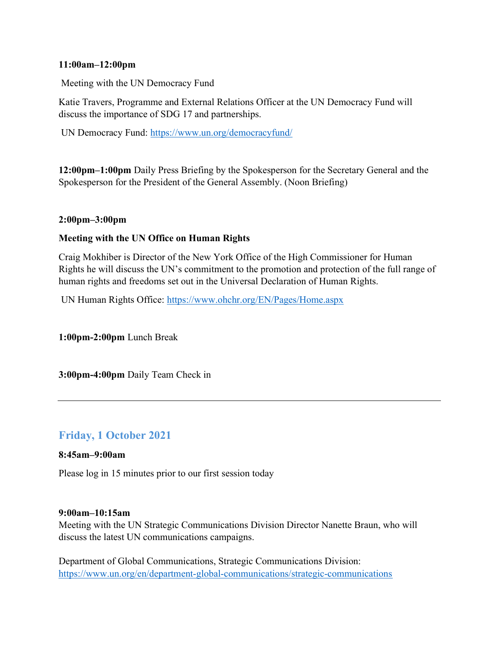#### 11:00am–12:00pm

Meeting with the UN Democracy Fund

Katie Travers, Programme and External Relations Officer at the UN Democracy Fund will discuss the importance of SDG 17 and partnerships.

UN Democracy Fund: https://www.un.org/democracyfund/

12:00pm–1:00pm Daily Press Briefing by the Spokesperson for the Secretary General and the Spokesperson for the President of the General Assembly. (Noon Briefing)

# 2:00pm–3:00pm

# Meeting with the UN Office on Human Rights

Craig Mokhiber is Director of the New York Office of the High Commissioner for Human Rights he will discuss the UN's commitment to the promotion and protection of the full range of human rights and freedoms set out in the Universal Declaration of Human Rights.

UN Human Rights Office: https://www.ohchr.org/EN/Pages/Home.aspx

1:00pm-2:00pm Lunch Break

3:00pm-4:00pm Daily Team Check in

# Friday, 1 October 2021

#### 8:45am–9:00am

Please log in 15 minutes prior to our first session today

#### 9:00am–10:15am

Meeting with the UN Strategic Communications Division Director Nanette Braun, who will discuss the latest UN communications campaigns.

Department of Global Communications, Strategic Communications Division: https://www.un.org/en/department-global-communications/strategic-communications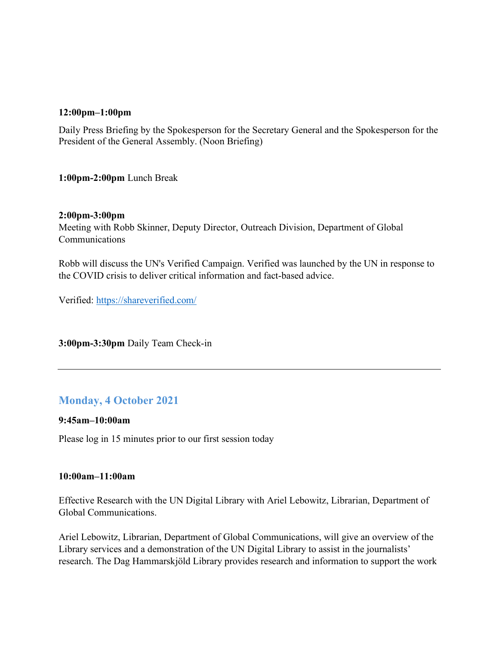#### 12:00pm–1:00pm

Daily Press Briefing by the Spokesperson for the Secretary General and the Spokesperson for the President of the General Assembly. (Noon Briefing)

1:00pm-2:00pm Lunch Break

#### 2:00pm-3:00pm

Meeting with Robb Skinner, Deputy Director, Outreach Division, Department of Global Communications

Robb will discuss the UN's Verified Campaign. Verified was launched by the UN in response to the COVID crisis to deliver critical information and fact-based advice.

Verified: https://shareverified.com/

3:00pm-3:30pm Daily Team Check-in

# Monday, 4 October 2021

#### 9:45am–10:00am

Please log in 15 minutes prior to our first session today

#### 10:00am–11:00am

Effective Research with the UN Digital Library with Ariel Lebowitz, Librarian, Department of Global Communications.

Ariel Lebowitz, Librarian, Department of Global Communications, will give an overview of the Library services and a demonstration of the UN Digital Library to assist in the journalists' research. The Dag Hammarskjöld Library provides research and information to support the work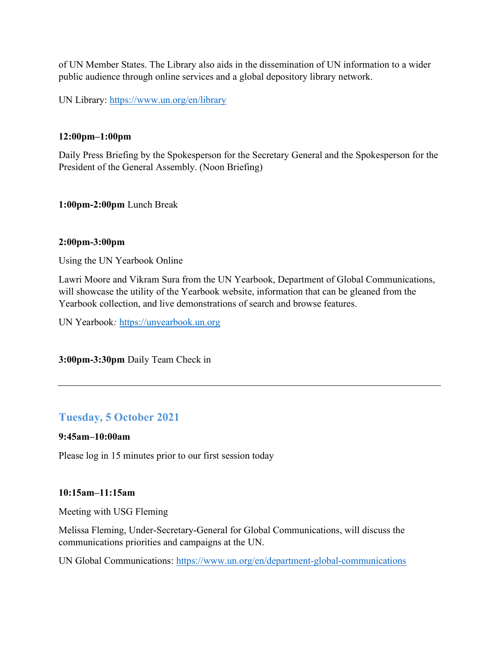of UN Member States. The Library also aids in the dissemination of UN information to a wider public audience through online services and a global depository library network.

UN Library: https://www.un.org/en/library

### 12:00pm–1:00pm

Daily Press Briefing by the Spokesperson for the Secretary General and the Spokesperson for the President of the General Assembly. (Noon Briefing)

1:00pm-2:00pm Lunch Break

### 2:00pm-3:00pm

Using the UN Yearbook Online

Lawri Moore and Vikram Sura from the UN Yearbook, Department of Global Communications, will showcase the utility of the Yearbook website, information that can be gleaned from the Yearbook collection, and live demonstrations of search and browse features.

UN Yearbook: https://unyearbook.un.org

3:00pm-3:30pm Daily Team Check in

# Tuesday, 5 October 2021

### 9:45am–10:00am

Please log in 15 minutes prior to our first session today

#### 10:15am–11:15am

Meeting with USG Fleming

Melissa Fleming, Under-Secretary-General for Global Communications, will discuss the communications priorities and campaigns at the UN.

UN Global Communications: https://www.un.org/en/department-global-communications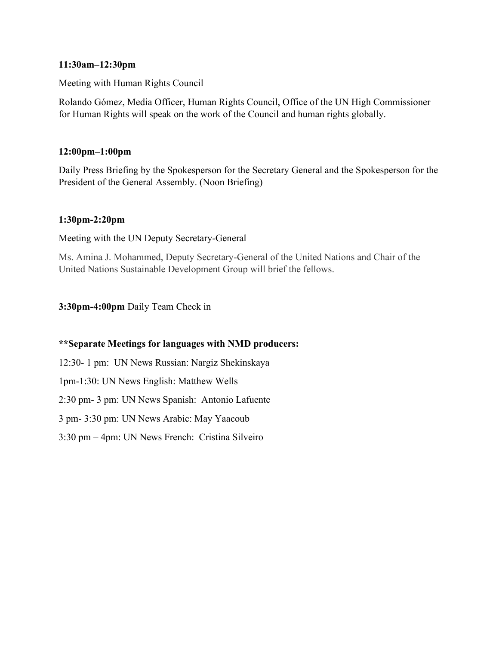### 11:30am–12:30pm

Meeting with Human Rights Council

Rolando Gómez, Media Officer, Human Rights Council, Office of the UN High Commissioner for Human Rights will speak on the work of the Council and human rights globally.

# 12:00pm–1:00pm

Daily Press Briefing by the Spokesperson for the Secretary General and the Spokesperson for the President of the General Assembly. (Noon Briefing)

# 1:30pm-2:20pm

Meeting with the UN Deputy Secretary-General

Ms. Amina J. Mohammed, Deputy Secretary-General of the United Nations and Chair of the United Nations Sustainable Development Group will brief the fellows.

3:30pm-4:00pm Daily Team Check in

# \*\*Separate Meetings for languages with NMD producers:

12:30- 1 pm: UN News Russian: Nargiz Shekinskaya

1pm-1:30: UN News English: Matthew Wells

2:30 pm- 3 pm: UN News Spanish: Antonio Lafuente

3 pm- 3:30 pm: UN News Arabic: May Yaacoub

3:30 pm – 4pm: UN News French: Cristina Silveiro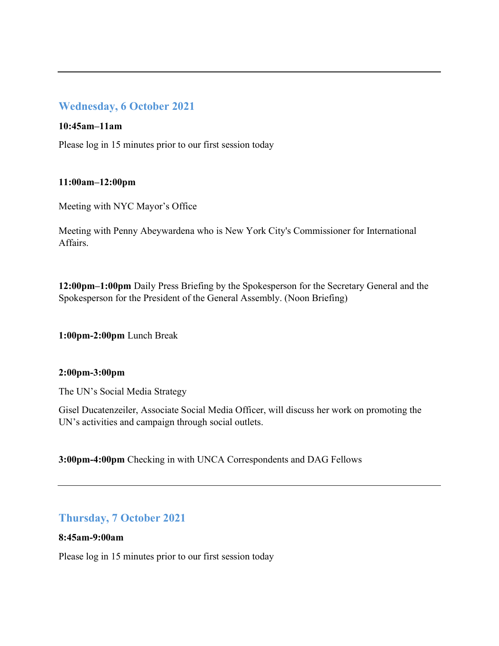# Wednesday, 6 October 2021

### 10:45am–11am

Please log in 15 minutes prior to our first session today

### 11:00am–12:00pm

Meeting with NYC Mayor's Office

Meeting with Penny Abeywardena who is New York City's Commissioner for International Affairs.

12:00pm–1:00pm Daily Press Briefing by the Spokesperson for the Secretary General and the Spokesperson for the President of the General Assembly. (Noon Briefing)

1:00pm-2:00pm Lunch Break

# 2:00pm-3:00pm

The UN's Social Media Strategy

Gisel Ducatenzeiler, Associate Social Media Officer, will discuss her work on promoting the UN's activities and campaign through social outlets.

3:00pm-4:00pm Checking in with UNCA Correspondents and DAG Fellows

# Thursday, 7 October 2021

#### 8:45am-9:00am

Please log in 15 minutes prior to our first session today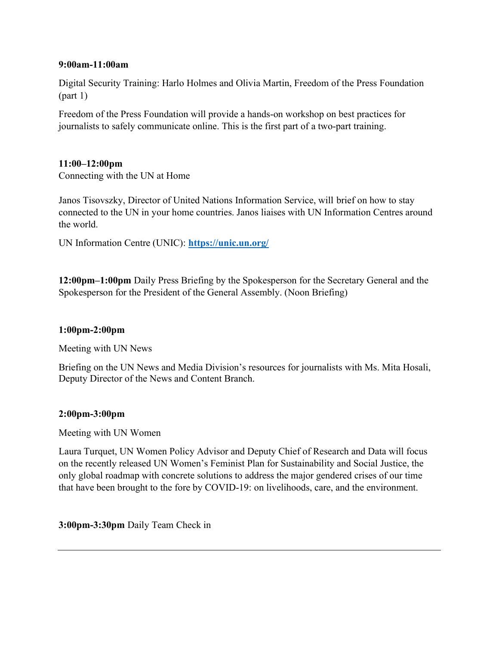#### 9:00am-11:00am

Digital Security Training: Harlo Holmes and Olivia Martin, Freedom of the Press Foundation  $(part 1)$ 

Freedom of the Press Foundation will provide a hands-on workshop on best practices for journalists to safely communicate online. This is the first part of a two-part training.

#### 11:00–12:00pm

Connecting with the UN at Home

Janos Tisovszky, Director of United Nations Information Service, will brief on how to stay connected to the UN in your home countries. Janos liaises with UN Information Centres around the world.

UN Information Centre (UNIC): https://unic.un.org/

12:00pm–1:00pm Daily Press Briefing by the Spokesperson for the Secretary General and the Spokesperson for the President of the General Assembly. (Noon Briefing)

# 1:00pm-2:00pm

Meeting with UN News

Briefing on the UN News and Media Division's resources for journalists with Ms. Mita Hosali, Deputy Director of the News and Content Branch.

#### 2:00pm-3:00pm

Meeting with UN Women

Laura Turquet, UN Women Policy Advisor and Deputy Chief of Research and Data will focus on the recently released UN Women's Feminist Plan for Sustainability and Social Justice, the only global roadmap with concrete solutions to address the major gendered crises of our time that have been brought to the fore by COVID-19: on livelihoods, care, and the environment.

3:00pm-3:30pm Daily Team Check in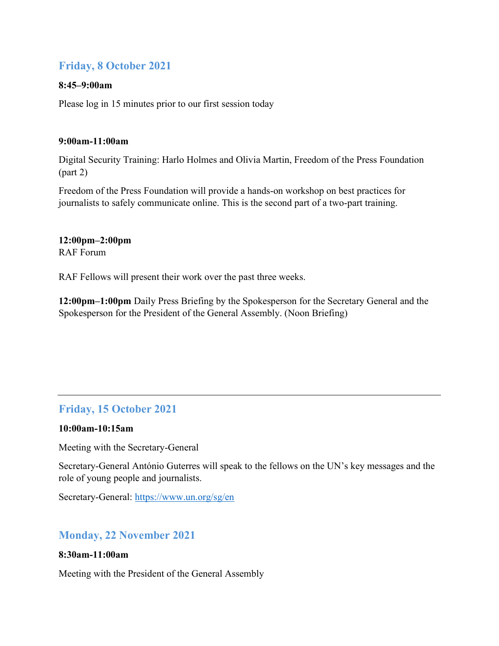# Friday, 8 October 2021

### 8:45–9:00am

Please log in 15 minutes prior to our first session today

### 9:00am-11:00am

Digital Security Training: Harlo Holmes and Olivia Martin, Freedom of the Press Foundation (part 2)

Freedom of the Press Foundation will provide a hands-on workshop on best practices for journalists to safely communicate online. This is the second part of a two-part training.

12:00pm–2:00pm RAF Forum

RAF Fellows will present their work over the past three weeks.

12:00pm–1:00pm Daily Press Briefing by the Spokesperson for the Secretary General and the Spokesperson for the President of the General Assembly. (Noon Briefing)

# Friday, 15 October 2021

#### 10:00am-10:15am

Meeting with the Secretary-General

Secretary-General António Guterres will speak to the fellows on the UN's key messages and the role of young people and journalists.

Secretary-General: https://www.un.org/sg/en

# Monday, 22 November 2021

#### 8:30am-11:00am

Meeting with the President of the General Assembly